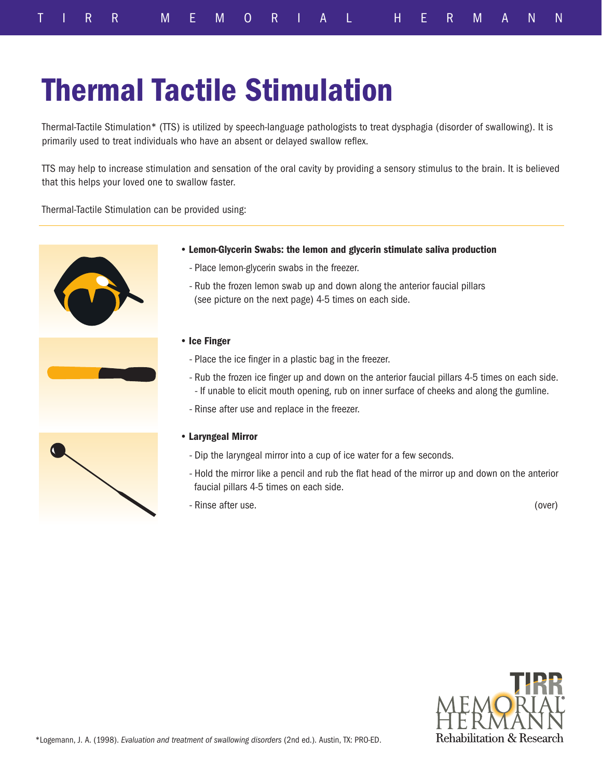## Thermal Tactile Stimulation

Thermal-Tactile Stimulation\* (TTS) is utilized by speech-language pathologists to treat dysphagia (disorder of swallowing). It is primarily used to treat individuals who have an absent or delayed swallow reflex.

TTS may help to increase stimulation and sensation of the oral cavity by providing a sensory stimulus to the brain. It is believed that this helps your loved one to swallow faster.

Thermal-Tactile Stimulation can be provided using:



- Lemon-Glycerin Swabs: the lemon and glycerin stimulate saliva production
	- Place lemon-glycerin swabs in the freezer.
	- Rub the frozen lemon swab up and down along the anterior faucial pillars (see picture on the next page) 4-5 times on each side.
- Ice Finger
	- Place the ice finger in a plastic bag in the freezer.
	- Rub the frozen ice finger up and down on the anterior faucial pillars 4-5 times on each side. - If unable to elicit mouth opening, rub on inner surface of cheeks and along the gumline.
	- Rinse after use and replace in the freezer.

## • Laryngeal Mirror

- Dip the laryngeal mirror into a cup of ice water for a few seconds.
- Hold the mirror like a pencil and rub the flat head of the mirror up and down on the anterior faucial pillars 4-5 times on each side.
- Rinse after use. (over)